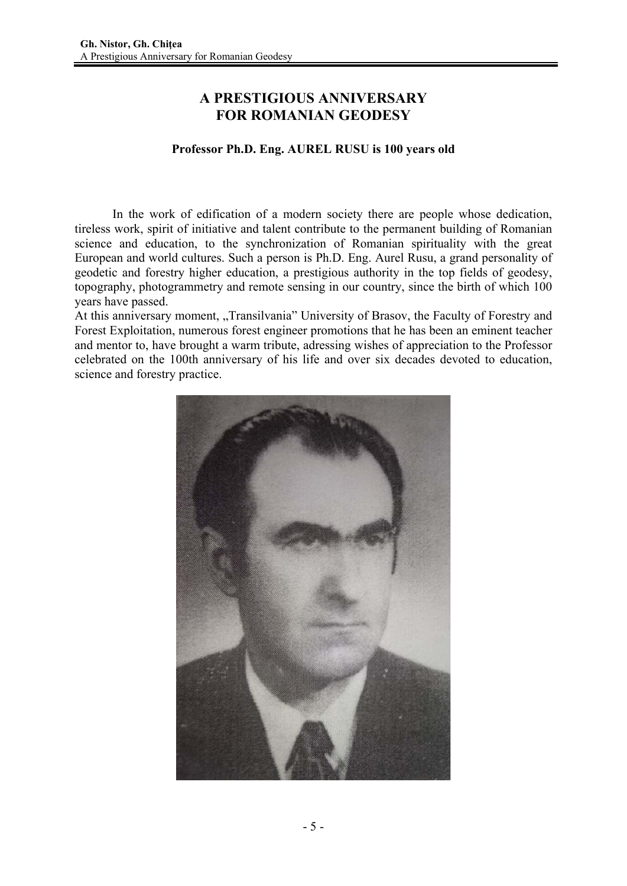## **A PRESTIGIOUS ANNIVERSARY FOR ROMANIAN GEODESY**

## **Professor Ph.D. Eng. AUREL RUSU is 100 years old**

In the work of edification of a modern society there are people whose dedication, tireless work, spirit of initiative and talent contribute to the permanent building of Romanian science and education, to the synchronization of Romanian spirituality with the great European and world cultures. Such a person is Ph.D. Eng. Aurel Rusu, a grand personality of geodetic and forestry higher education, a prestigious authority in the top fields of geodesy, topography, photogrammetry and remote sensing in our country, since the birth of which 100 years have passed.

At this anniversary moment, "Transilvania" University of Brasov, the Faculty of Forestry and Forest Exploitation, numerous forest engineer promotions that he has been an eminent teacher and mentor to, have brought a warm tribute, adressing wishes of appreciation to the Professor celebrated on the 100th anniversary of his life and over six decades devoted to education, science and forestry practice.

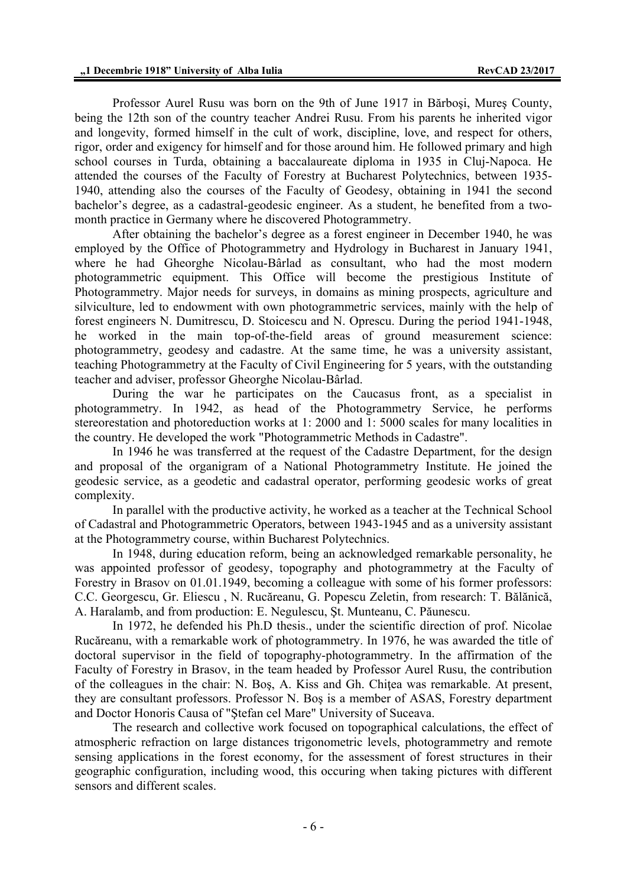Professor Aurel Rusu was born on the 9th of June 1917 in Bărboşi, Mureş County, being the 12th son of the country teacher Andrei Rusu. From his parents he inherited vigor and longevity, formed himself in the cult of work, discipline, love, and respect for others, rigor, order and exigency for himself and for those around him. He followed primary and high school courses in Turda, obtaining a baccalaureate diploma in 1935 in Cluj-Napoca. He attended the courses of the Faculty of Forestry at Bucharest Polytechnics, between 1935- 1940, attending also the courses of the Faculty of Geodesy, obtaining in 1941 the second bachelor's degree, as a cadastral-geodesic engineer. As a student, he benefited from a twomonth practice in Germany where he discovered Photogrammetry.

After obtaining the bachelor's degree as a forest engineer in December 1940, he was employed by the Office of Photogrammetry and Hydrology in Bucharest in January 1941, where he had Gheorghe Nicolau-Bârlad as consultant, who had the most modern photogrammetric equipment. This Office will become the prestigious Institute of Photogrammetry. Major needs for surveys, in domains as mining prospects, agriculture and silviculture, led to endowment with own photogrammetric services, mainly with the help of forest engineers N. Dumitrescu, D. Stoicescu and N. Oprescu. During the period 1941-1948, he worked in the main top-of-the-field areas of ground measurement science: photogrammetry, geodesy and cadastre. At the same time, he was a university assistant, teaching Photogrammetry at the Faculty of Civil Engineering for 5 years, with the outstanding teacher and adviser, professor Gheorghe Nicolau-Bârlad.

During the war he participates on the Caucasus front, as a specialist in photogrammetry. In 1942, as head of the Photogrammetry Service, he performs stereorestation and photoreduction works at 1: 2000 and 1: 5000 scales for many localities in the country. He developed the work "Photogrammetric Methods in Cadastre".

In 1946 he was transferred at the request of the Cadastre Department, for the design and proposal of the organigram of a National Photogrammetry Institute. He joined the geodesic service, as a geodetic and cadastral operator, performing geodesic works of great complexity.

In parallel with the productive activity, he worked as a teacher at the Technical School of Cadastral and Photogrammetric Operators, between 1943-1945 and as a university assistant at the Photogrammetry course, within Bucharest Polytechnics.

In 1948, during education reform, being an acknowledged remarkable personality, he was appointed professor of geodesy, topography and photogrammetry at the Faculty of Forestry in Brasov on 01.01.1949, becoming a colleague with some of his former professors: C.C. Georgescu, Gr. Eliescu , N. Rucăreanu, G. Popescu Zeletin, from research: T. Bălănică, A. Haralamb, and from production: E. Negulescu, Şt. Munteanu, C. Păunescu.

In 1972, he defended his Ph.D thesis., under the scientific direction of prof. Nicolae Rucăreanu, with a remarkable work of photogrammetry. In 1976, he was awarded the title of doctoral supervisor in the field of topography-photogrammetry. In the affirmation of the Faculty of Forestry in Brasov, in the team headed by Professor Aurel Rusu, the contribution of the colleagues in the chair: N. Bos, A. Kiss and Gh. Chitea was remarkable. At present, they are consultant professors. Professor N. Boş is a member of ASAS, Forestry department and Doctor Honoris Causa of "Ştefan cel Mare" University of Suceava.

The research and collective work focused on topographical calculations, the effect of atmospheric refraction on large distances trigonometric levels, photogrammetry and remote sensing applications in the forest economy, for the assessment of forest structures in their geographic configuration, including wood, this occuring when taking pictures with different sensors and different scales.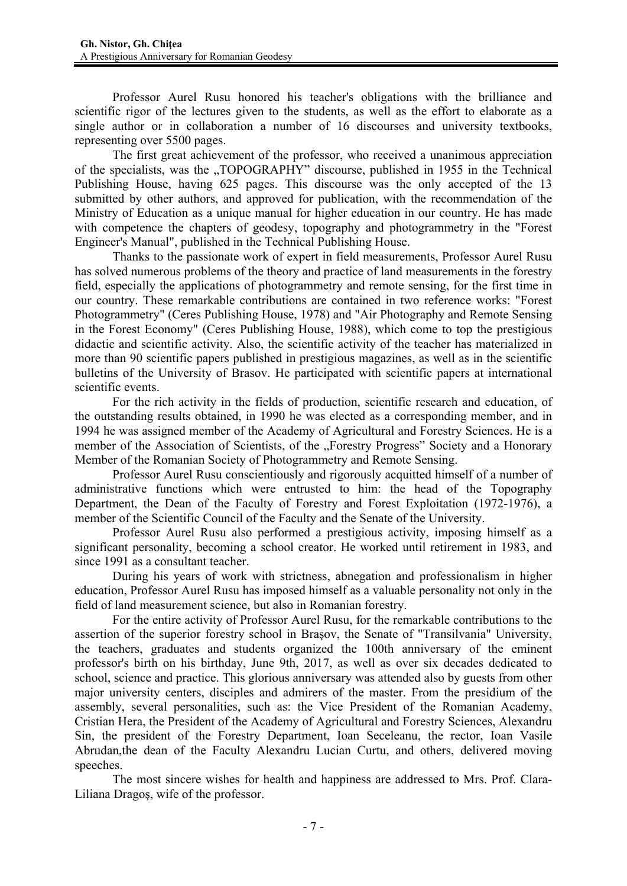Professor Aurel Rusu honored his teacher's obligations with the brilliance and scientific rigor of the lectures given to the students, as well as the effort to elaborate as a single author or in collaboration a number of 16 discourses and university textbooks, representing over 5500 pages.

The first great achievement of the professor, who received a unanimous appreciation of the specialists, was the "TOPOGRAPHY" discourse, published in 1955 in the Technical Publishing House, having 625 pages. This discourse was the only accepted of the 13 submitted by other authors, and approved for publication, with the recommendation of the Ministry of Education as a unique manual for higher education in our country. He has made with competence the chapters of geodesy, topography and photogrammetry in the "Forest Engineer's Manual", published in the Technical Publishing House.

Thanks to the passionate work of expert in field measurements, Professor Aurel Rusu has solved numerous problems of the theory and practice of land measurements in the forestry field, especially the applications of photogrammetry and remote sensing, for the first time in our country. These remarkable contributions are contained in two reference works: "Forest Photogrammetry" (Ceres Publishing House, 1978) and "Air Photography and Remote Sensing in the Forest Economy" (Ceres Publishing House, 1988), which come to top the prestigious didactic and scientific activity. Also, the scientific activity of the teacher has materialized in more than 90 scientific papers published in prestigious magazines, as well as in the scientific bulletins of the University of Brasov. He participated with scientific papers at international scientific events.

For the rich activity in the fields of production, scientific research and education, of the outstanding results obtained, in 1990 he was elected as a corresponding member, and in 1994 he was assigned member of the Academy of Agricultural and Forestry Sciences. He is a member of the Association of Scientists, of the "Forestry Progress" Society and a Honorary Member of the Romanian Society of Photogrammetry and Remote Sensing.

Professor Aurel Rusu conscientiously and rigorously acquitted himself of a number of administrative functions which were entrusted to him: the head of the Topography Department, the Dean of the Faculty of Forestry and Forest Exploitation (1972-1976), a member of the Scientific Council of the Faculty and the Senate of the University.

Professor Aurel Rusu also performed a prestigious activity, imposing himself as a significant personality, becoming a school creator. He worked until retirement in 1983, and since 1991 as a consultant teacher.

During his years of work with strictness, abnegation and professionalism in higher education, Professor Aurel Rusu has imposed himself as a valuable personality not only in the field of land measurement science, but also in Romanian forestry.

For the entire activity of Professor Aurel Rusu, for the remarkable contributions to the assertion of the superior forestry school in Braşov, the Senate of "Transilvania" University, the teachers, graduates and students organized the 100th anniversary of the eminent professor's birth on his birthday, June 9th, 2017, as well as over six decades dedicated to school, science and practice. This glorious anniversary was attended also by guests from other major university centers, disciples and admirers of the master. From the presidium of the assembly, several personalities, such as: the Vice President of the Romanian Academy, Cristian Hera, the President of the Academy of Agricultural and Forestry Sciences, Alexandru Sin, the president of the Forestry Department, Ioan Seceleanu, the rector, Ioan Vasile Abrudan,the dean of the Faculty Alexandru Lucian Curtu, and others, delivered moving speeches.

The most sincere wishes for health and happiness are addressed to Mrs. Prof. Clara-Liliana Dragoş, wife of the professor.